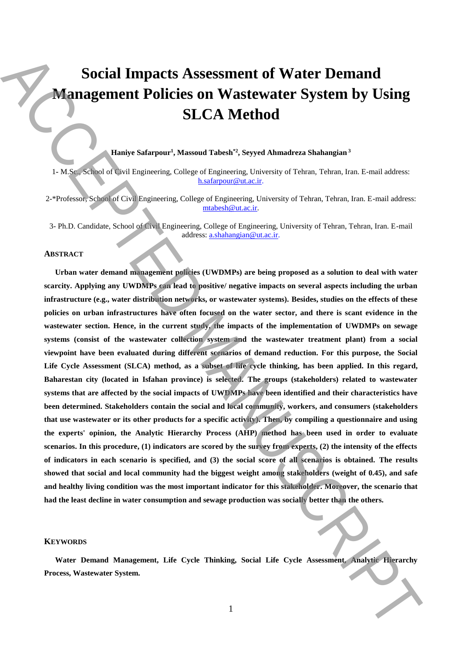# **Social Impacts Assessment of Water Demand Management Policies on Wastewater System by Using SLCA Method**

**Haniye Safarpour<sup>1</sup> , Massoud Tabesh\*2, Seyyed Ahmadreza Shahangian <sup>3</sup>**

1**-** M.Sc., School of Civil Engineering, College of Engineering, University of Tehran, Tehran, Iran. E-mail address: h.safarpour@ut.ac.ir.

2-\*Professor, School of Civil Engineering, College of Engineering, University of Tehran, Tehran, Iran. E-mail address: mtabesh@ut.ac.ir.

3- Ph.D. Candidate, School of Civil Engineering, College of Engineering, University of Tehran, Tehran, Iran. E-mail address: a.shahangian@ut.ac.ir.

### **ABSTRACT**

**Urban water demand management policies (UWDMPs) are being proposed as a solution to deal with water scarcity. Applying any UWDMPs can lead to positive/ negative impacts on several aspects including the urban infrastructure (e.g., water distribution networks, or wastewater systems). Besides, studies on the effects of these policies on urban infrastructures have often focused on the water sector, and there is scant evidence in the wastewater section. Hence, in the current study, the impacts of the implementation of UWDMPs on sewage systems (consist of the wastewater collection system and the wastewater treatment plant) from a social viewpoint have been evaluated during different scenarios of demand reduction. For this purpose, the Social Life Cycle Assessment (SLCA) method, as a subset of life cycle thinking, has been applied. In this regard, Baharestan city (located in Isfahan province) is selected. The groups (stakeholders) related to wastewater systems that are affected by the social impacts of UWDMPs have been identified and their characteristics have been determined. Stakeholders contain the social and local community, workers, and consumers (stakeholders that use wastewater or its other products for a specific activity). Then, by compiling a questionnaire and using the experts' opinion, the Analytic Hierarchy Process (AHP) method has been used in order to evaluate scenarios. In this procedure, (1) indicators are scored by the survey from experts, (2) the intensity of the effects of indicators in each scenario is specified, and (3) the social score of all scenarios is obtained. The results showed that social and local community had the biggest weight among stakeholders (weight of 0.45), and safe and healthy living condition was the most important indicator for this stakeholder. Moreover, the scenario that had the least decline in water consumption and sewage production was socially better than the others. Process, Process, Process, Process, Process, Process, Process, Process, Process, Process, Process, Process, Process, Process, Process, Process, Process, Process, Process, Process,**

#### **KEYWORDS**

**Water Demand Management, Life Cycle Thinking, Social Life Cycle Assessment, Analytic Hierarchy**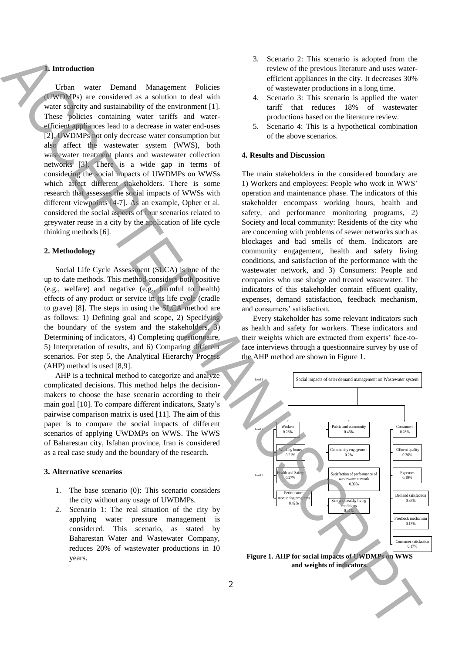## **1. Introduction**

Urban water Demand Management Policies (UWDMPs) are considered as a solution to deal with water scarcity and sustainability of the environment [1]. These policies containing water tariffs and waterefficient appliances lead to a decrease in water end-uses [2]. UWDMPs not only decrease water consumption but also affect the wastewater system (WWS), both wastewater treatment plants and wastewater collection networks [3]. There is a wide gap in terms of considering the social impacts of UWDMPs on WWSs which affect different stakeholders. There is some research that assesses the social impacts of WWSs with different viewpoints [4-7]. As an example, Opher et al. considered the social aspects of four scenarios related to greywater reuse in a city by the application of life cycle thinking methods [6].

# **2. Methodology**

Social Life Cycle Assessment (SLCA) is one of the up to date methods. This method considers both positive (e.g., welfare) and negative (e.g., harmful to health) effects of any product or service in its life cycle (cradle to grave) [8]. The steps in using the SLCA method are as follows: 1) Defining goal and scope, 2) Specifying the boundary of the system and the stakeholders, 3) Determining of indicators, 4) Completing questionnaire, 5) Interpretation of results, and 6) Comparing different scenarios. For step 5, the Analytical Hierarchy Process (AHP) method is used [8,9].

AHP is a technical method to categorize and analyze complicated decisions. This method helps the decisionmakers to choose the base scenario according to their main goal [10]. To compare different indicators, Saaty's pairwise comparison matrix is used [11]. The aim of this paper is to compare the social impacts of different scenarios of applying UWDMPs on WWS. The WWS of Baharestan city, Isfahan province, Iran is considered as a real case study and the boundary of the research.

#### **3. Alternative scenarios**

- 1. The base scenario (0): This scenario considers the city without any usage of UWDMPs.
- 2. Scenario 1: The real situation of the city by applying water pressure management is considered. This scenario, as stated by Baharestan Water and Wastewater Company, reduces 20% of wastewater productions in 10 years.
- 3. Scenario 2: This scenario is adopted from the review of the previous literature and uses waterefficient appliances in the city. It decreases 30% of wastewater productions in a long time.
- 4. Scenario 3: This scenario is applied the water tariff that reduces 18% of wastewater productions based on the literature review.
- 5. Scenario 4: This is a hypothetical combination of the above scenarios.

## **4. Results and Discussion**

The main stakeholders in the considered boundary are 1) Workers and employees: People who work in WWS' operation and maintenance phase. The indicators of this stakeholder encompass working hours, health and safety, and performance monitoring programs, 2) Society and local community: Residents of the city who are concerning with problems of sewer networks such as blockages and bad smells of them. Indicators are community engagement, health and safety living conditions, and satisfaction of the performance with the wastewater network, and 3) Consumers: People and companies who use sludge and treated wastewater. The indicators of this stakeholder contain effluent quality, expenses, demand satisfaction, feedback mechanism, and consumers' satisfaction.

Every stakeholder has some relevant indicators such as health and safety for workers. These indicators and their weights which are extracted from experts' face-toface interviews through a questionnaire survey by use of the AHP method are shown in Figure 1.



**Figure 1. AHP for social impacts of UWDMPs on WWS and weights of indicators.**